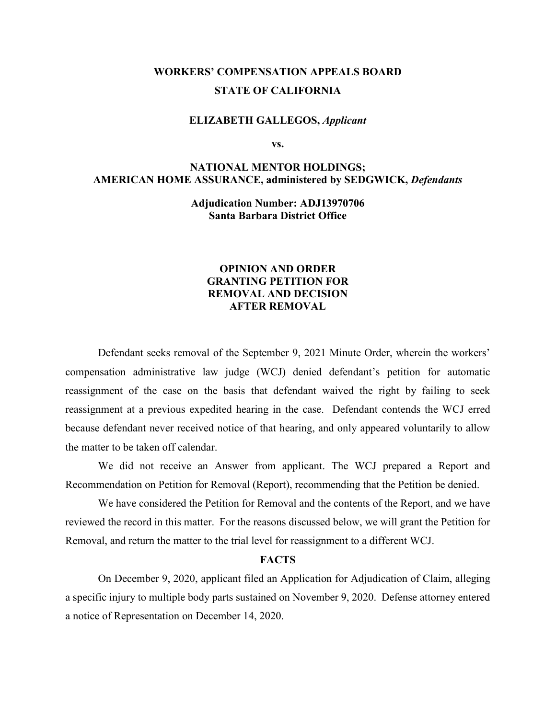# **WORKERS' COMPENSATION APPEALS BOARD STATE OF CALIFORNIA**

#### **ELIZABETH GALLEGOS,** *Applicant*

**vs.**

## **NATIONAL MENTOR HOLDINGS; AMERICAN HOME ASSURANCE, administered by SEDGWICK,** *Defendants*

**Adjudication Number: ADJ13970706 Santa Barbara District Office**

### **OPINION AND ORDER GRANTING PETITION FOR REMOVAL AND DECISION AFTER REMOVAL**

Defendant seeks removal of the September 9, 2021 Minute Order, wherein the workers' compensation administrative law judge (WCJ) denied defendant's petition for automatic reassignment of the case on the basis that defendant waived the right by failing to seek reassignment at a previous expedited hearing in the case. Defendant contends the WCJ erred because defendant never received notice of that hearing, and only appeared voluntarily to allow the matter to be taken off calendar.

We did not receive an Answer from applicant. The WCJ prepared a Report and Recommendation on Petition for Removal (Report), recommending that the Petition be denied.

We have considered the Petition for Removal and the contents of the Report, and we have reviewed the record in this matter. For the reasons discussed below, we will grant the Petition for Removal, and return the matter to the trial level for reassignment to a different WCJ.

### **FACTS**

On December 9, 2020, applicant filed an Application for Adjudication of Claim, alleging a specific injury to multiple body parts sustained on November 9, 2020. Defense attorney entered a notice of Representation on December 14, 2020.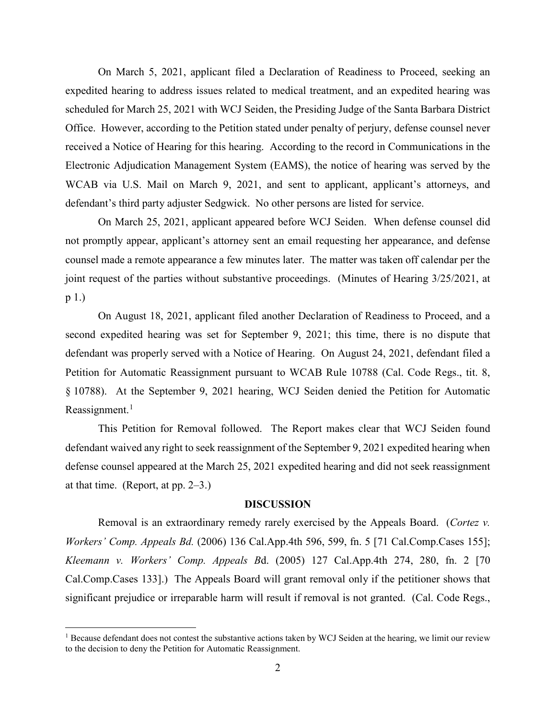On March 5, 2021, applicant filed a Declaration of Readiness to Proceed, seeking an expedited hearing to address issues related to medical treatment, and an expedited hearing was scheduled for March 25, 2021 with WCJ Seiden, the Presiding Judge of the Santa Barbara District Office. However, according to the Petition stated under penalty of perjury, defense counsel never received a Notice of Hearing for this hearing. According to the record in Communications in the Electronic Adjudication Management System (EAMS), the notice of hearing was served by the WCAB via U.S. Mail on March 9, 2021, and sent to applicant, applicant's attorneys, and defendant's third party adjuster Sedgwick. No other persons are listed for service.

On March 25, 2021, applicant appeared before WCJ Seiden. When defense counsel did not promptly appear, applicant's attorney sent an email requesting her appearance, and defense counsel made a remote appearance a few minutes later. The matter was taken off calendar per the joint request of the parties without substantive proceedings. (Minutes of Hearing 3/25/2021, at p 1.)

On August 18, 2021, applicant filed another Declaration of Readiness to Proceed, and a second expedited hearing was set for September 9, 2021; this time, there is no dispute that defendant was properly served with a Notice of Hearing. On August 24, 2021, defendant filed a Petition for Automatic Reassignment pursuant to WCAB Rule 10788 (Cal. Code Regs., tit. 8, § 10788). At the September 9, 2021 hearing, WCJ Seiden denied the Petition for Automatic Reassignment. $<sup>1</sup>$  $<sup>1</sup>$  $<sup>1</sup>$ </sup>

This Petition for Removal followed. The Report makes clear that WCJ Seiden found defendant waived any right to seek reassignment of the September 9, 2021 expedited hearing when defense counsel appeared at the March 25, 2021 expedited hearing and did not seek reassignment at that time. (Report, at pp.  $2-3$ .)

#### **DISCUSSION**

Removal is an extraordinary remedy rarely exercised by the Appeals Board. (*Cortez v. Workers' Comp. Appeals Bd.* (2006) 136 Cal.App.4th 596, 599, fn. 5 [71 Cal.Comp.Cases 155]; *Kleemann v. Workers' Comp. Appeals B*d. (2005) 127 Cal.App.4th 274, 280, fn. 2 [70 Cal.Comp.Cases 133].) The Appeals Board will grant removal only if the petitioner shows that significant prejudice or irreparable harm will result if removal is not granted. (Cal. Code Regs.,

<span id="page-1-0"></span><sup>&</sup>lt;sup>1</sup> Because defendant does not contest the substantive actions taken by WCJ Seiden at the hearing, we limit our review to the decision to deny the Petition for Automatic Reassignment.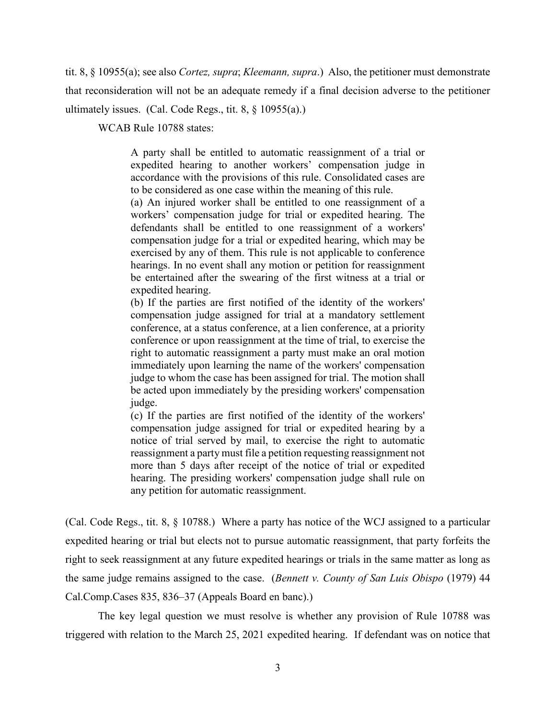tit. 8, § 10955(a); see also *Cortez, supra*; *Kleemann, supra*.) Also, the petitioner must demonstrate that reconsideration will not be an adequate remedy if a final decision adverse to the petitioner ultimately issues. (Cal. Code Regs., tit. 8, § 10955(a).)

WCAB Rule 10788 states:

A party shall be entitled to automatic reassignment of a trial or expedited hearing to another workers' compensation judge in accordance with the provisions of this rule. Consolidated cases are to be considered as one case within the meaning of this rule.

(a) An injured worker shall be entitled to one reassignment of a workers' compensation judge for trial or expedited hearing. The defendants shall be entitled to one reassignment of a workers' compensation judge for a trial or expedited hearing, which may be exercised by any of them. This rule is not applicable to conference hearings. In no event shall any motion or petition for reassignment be entertained after the swearing of the first witness at a trial or expedited hearing.

(b) If the parties are first notified of the identity of the workers' compensation judge assigned for trial at a mandatory settlement conference, at a status conference, at a lien conference, at a priority conference or upon reassignment at the time of trial, to exercise the right to automatic reassignment a party must make an oral motion immediately upon learning the name of the workers' compensation judge to whom the case has been assigned for trial. The motion shall be acted upon immediately by the presiding workers' compensation judge.

(c) If the parties are first notified of the identity of the workers' compensation judge assigned for trial or expedited hearing by a notice of trial served by mail, to exercise the right to automatic reassignment a party must file a petition requesting reassignment not more than 5 days after receipt of the notice of trial or expedited hearing. The presiding workers' compensation judge shall rule on any petition for automatic reassignment.

(Cal. Code Regs., tit. 8, § 10788.) Where a party has notice of the WCJ assigned to a particular expedited hearing or trial but elects not to pursue automatic reassignment, that party forfeits the right to seek reassignment at any future expedited hearings or trials in the same matter as long as the same judge remains assigned to the case. (*Bennett v. County of San Luis Obispo* (1979) 44 Cal.Comp.Cases 835, 836–37 (Appeals Board en banc).)

The key legal question we must resolve is whether any provision of Rule 10788 was triggered with relation to the March 25, 2021 expedited hearing. If defendant was on notice that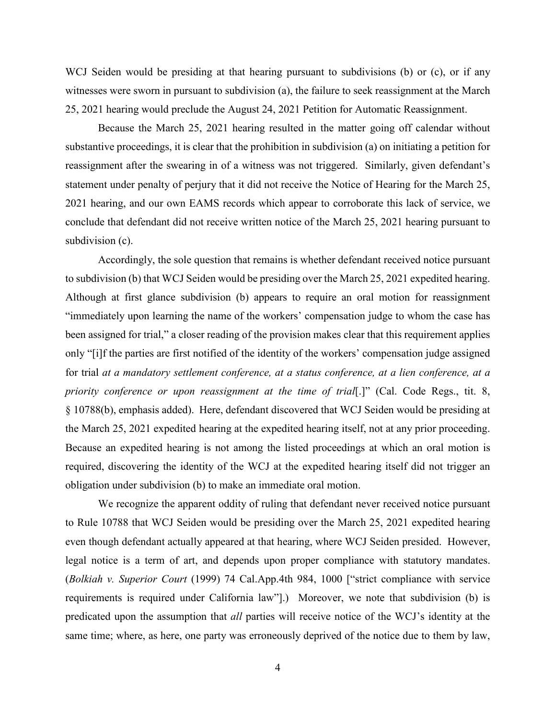WCJ Seiden would be presiding at that hearing pursuant to subdivisions (b) or (c), or if any witnesses were sworn in pursuant to subdivision (a), the failure to seek reassignment at the March 25, 2021 hearing would preclude the August 24, 2021 Petition for Automatic Reassignment.

Because the March 25, 2021 hearing resulted in the matter going off calendar without substantive proceedings, it is clear that the prohibition in subdivision (a) on initiating a petition for reassignment after the swearing in of a witness was not triggered. Similarly, given defendant's statement under penalty of perjury that it did not receive the Notice of Hearing for the March 25, 2021 hearing, and our own EAMS records which appear to corroborate this lack of service, we conclude that defendant did not receive written notice of the March 25, 2021 hearing pursuant to subdivision (c).

Accordingly, the sole question that remains is whether defendant received notice pursuant to subdivision (b) that WCJ Seiden would be presiding over the March 25, 2021 expedited hearing. Although at first glance subdivision (b) appears to require an oral motion for reassignment "immediately upon learning the name of the workers' compensation judge to whom the case has been assigned for trial," a closer reading of the provision makes clear that this requirement applies only "[i]f the parties are first notified of the identity of the workers' compensation judge assigned for trial *at a mandatory settlement conference, at a status conference, at a lien conference, at a priority conference or upon reassignment at the time of trial*[.]" (Cal. Code Regs., tit. 8, § 10788(b), emphasis added). Here, defendant discovered that WCJ Seiden would be presiding at the March 25, 2021 expedited hearing at the expedited hearing itself, not at any prior proceeding. Because an expedited hearing is not among the listed proceedings at which an oral motion is required, discovering the identity of the WCJ at the expedited hearing itself did not trigger an obligation under subdivision (b) to make an immediate oral motion.

We recognize the apparent oddity of ruling that defendant never received notice pursuant to Rule 10788 that WCJ Seiden would be presiding over the March 25, 2021 expedited hearing even though defendant actually appeared at that hearing, where WCJ Seiden presided. However, legal notice is a term of art, and depends upon proper compliance with statutory mandates. (*Bolkiah v. Superior Court* (1999) 74 Cal.App.4th 984, 1000 ["strict compliance with service requirements is required under California law"].) Moreover, we note that subdivision (b) is predicated upon the assumption that *all* parties will receive notice of the WCJ's identity at the same time; where, as here, one party was erroneously deprived of the notice due to them by law,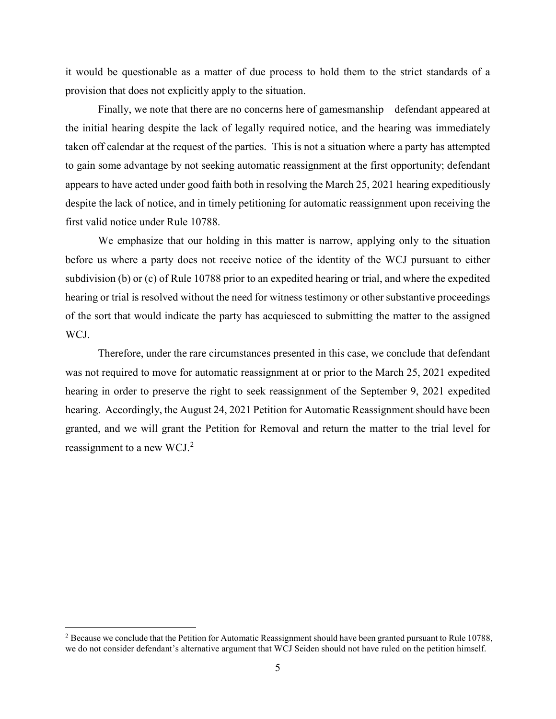it would be questionable as a matter of due process to hold them to the strict standards of a provision that does not explicitly apply to the situation.

Finally, we note that there are no concerns here of gamesmanship – defendant appeared at the initial hearing despite the lack of legally required notice, and the hearing was immediately taken off calendar at the request of the parties. This is not a situation where a party has attempted to gain some advantage by not seeking automatic reassignment at the first opportunity; defendant appears to have acted under good faith both in resolving the March 25, 2021 hearing expeditiously despite the lack of notice, and in timely petitioning for automatic reassignment upon receiving the first valid notice under Rule 10788.

We emphasize that our holding in this matter is narrow, applying only to the situation before us where a party does not receive notice of the identity of the WCJ pursuant to either subdivision (b) or (c) of Rule 10788 prior to an expedited hearing or trial, and where the expedited hearing or trial is resolved without the need for witness testimony or other substantive proceedings of the sort that would indicate the party has acquiesced to submitting the matter to the assigned WCJ.

Therefore, under the rare circumstances presented in this case, we conclude that defendant was not required to move for automatic reassignment at or prior to the March 25, 2021 expedited hearing in order to preserve the right to seek reassignment of the September 9, 2021 expedited hearing. Accordingly, the August 24, 2021 Petition for Automatic Reassignment should have been granted, and we will grant the Petition for Removal and return the matter to the trial level for reassignment to a new WCJ.[2](#page-4-0)

<span id="page-4-0"></span><sup>&</sup>lt;sup>2</sup> Because we conclude that the Petition for Automatic Reassignment should have been granted pursuant to Rule 10788, we do not consider defendant's alternative argument that WCJ Seiden should not have ruled on the petition himself.